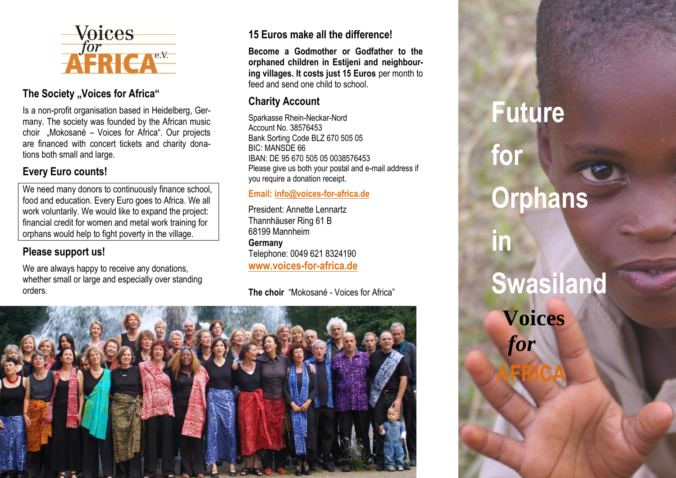

### **The Society "Voices for Africa"**

Is a non-profit organisation based in Heidelberg, Germany. The society was founded by the African music choir "Mokosané – Voices for Africa". Our projects are financed with concert tickets and charity donations both small and large.

### **Every Euro counts!**

We need many donors to continuously finance school, food and education. Every Euro goes to Africa. We all work voluntarily. We would like to expand the project: financial credit for women and metal work training for orphans would help to fight poverty in the village.

# **Please support us!**

We are always happy to receive any donations, whether small or large and especially over standing orders.

# **15 Euros make all the difference!**

**Become a Godmother or Godfather to the orphaned children in Estijeni and neighbouring villages. It costs just 15 Euros** per month to feed and send one child to school.

### **Charity Account**

Sparkasse Rhein-Neckar-Nord Account No. 38576453 Bank Sorting Code BLZ 670 505 05 BIC: MANSDE 66 IBAN: DE 95 670 505 05 0038576453 Please give us both your postal and e-mail address if you require a donation receipt.

### **Email[: info@voices-for-africa.de](mailto:info@voices-for-africa.de)**

President: Annette Lennartz Thannhäuser Ring 61 B 68199 Mannheim **Germany** Telephone: 0049 621 8324190 **[www.voices-for-africa.de](http://www.voices-for-africa.de/)**

**The choir** "Mokosané - Voices for Africa"



# **Future for Orphans in Swasiland Voices**  *for* **AFRICA**